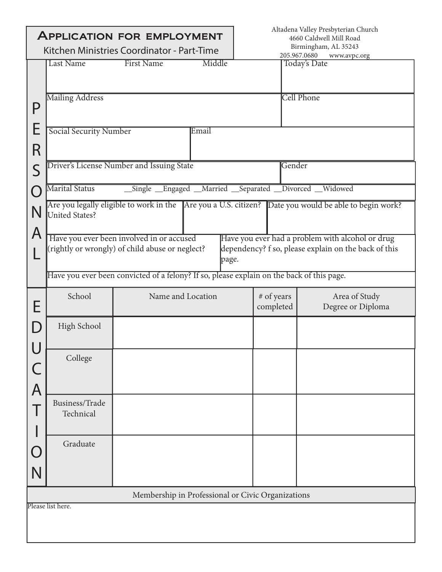| <b>APPLICATION FOR EMPLOYMENT</b><br>Kitchen Ministries Coordinator - Part-Time |                               |                                                                                              |        | Altadena Valley Presbyterian Church<br>4660 Caldwell Mill Road<br>Birmingham, AL 35243 |                                                                                                          |  |
|---------------------------------------------------------------------------------|-------------------------------|----------------------------------------------------------------------------------------------|--------|----------------------------------------------------------------------------------------|----------------------------------------------------------------------------------------------------------|--|
|                                                                                 | <b>Last Name</b>              | <b>First Name</b>                                                                            | Middle |                                                                                        | 205.967.0680<br>www.avpc.org<br>Today's Date                                                             |  |
| P                                                                               | <b>Mailing Address</b>        |                                                                                              |        |                                                                                        | <b>Cell Phone</b>                                                                                        |  |
| E<br>R                                                                          | <b>Social Security Number</b> |                                                                                              | Email  |                                                                                        |                                                                                                          |  |
| S                                                                               |                               | Driver's License Number and Issuing State                                                    | Gender |                                                                                        |                                                                                                          |  |
|                                                                                 | Marital Status                | _Single _Engaged _Married _Separated _Divorced _Widowed                                      |        |                                                                                        |                                                                                                          |  |
| N<br>A                                                                          | United States?                |                                                                                              |        |                                                                                        | Are you legally eligible to work in the Are you a U.S. citizen? Date you would be able to begin work?    |  |
|                                                                                 |                               | Have you ever been involved in or accused<br>(rightly or wrongly) of child abuse or neglect? | page.  |                                                                                        | Have you ever had a problem with alcohol or drug<br>dependency? f so, please explain on the back of this |  |
|                                                                                 |                               | Have you ever been convicted of a felony? If so, please explain on the back of this page.    |        |                                                                                        |                                                                                                          |  |
| E                                                                               | School                        | Name and Location                                                                            |        | # of years<br>completed                                                                | Area of Study<br>Degree or Diploma                                                                       |  |
|                                                                                 | High School                   |                                                                                              |        |                                                                                        |                                                                                                          |  |
| $\mathsf C$<br>$\overline{A}$                                                   | College                       |                                                                                              |        |                                                                                        |                                                                                                          |  |
|                                                                                 | Business/Trade<br>Technical   |                                                                                              |        |                                                                                        |                                                                                                          |  |
|                                                                                 | Graduate                      |                                                                                              |        |                                                                                        |                                                                                                          |  |
|                                                                                 |                               | Membership in Professional or Civic Organizations                                            |        |                                                                                        |                                                                                                          |  |
|                                                                                 | Please list here.             |                                                                                              |        |                                                                                        |                                                                                                          |  |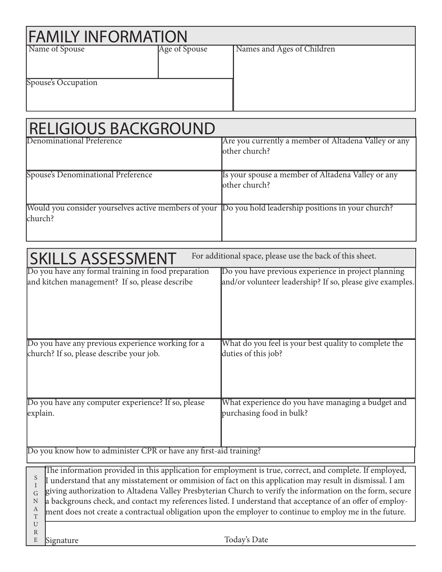| <b>FAMILY INFORMATION</b> |               |                            |  |  |  |  |  |
|---------------------------|---------------|----------------------------|--|--|--|--|--|
| Name of Spouse            | Age of Spouse | Names and Ages of Children |  |  |  |  |  |
| Spouse's Occupation       |               |                            |  |  |  |  |  |
|                           |               |                            |  |  |  |  |  |

| <b>RELIGIOUS BACKGROUND</b>                                                                           |                                                      |
|-------------------------------------------------------------------------------------------------------|------------------------------------------------------|
| Denominational Preference                                                                             | Are you currently a member of Altadena Valley or any |
|                                                                                                       | lother church?                                       |
|                                                                                                       |                                                      |
| Spouse's Denominational Preference                                                                    | Is your spouse a member of Altadena Valley or any    |
|                                                                                                       | lother church?                                       |
|                                                                                                       |                                                      |
| Would you consider yourselves active members of your Do you hold leadership positions in your church? |                                                      |
| church?                                                                                               |                                                      |
|                                                                                                       |                                                      |

| <b>SKILLS ASSESSMENT</b>                                                                              | For additional space, please use the back of this sheet.                                                                                                                                                                                                                                                                                                                                                                                                                                                                                                  |
|-------------------------------------------------------------------------------------------------------|-----------------------------------------------------------------------------------------------------------------------------------------------------------------------------------------------------------------------------------------------------------------------------------------------------------------------------------------------------------------------------------------------------------------------------------------------------------------------------------------------------------------------------------------------------------|
| Do you have any formal training in food preparation<br>and kitchen management? If so, please describe | Do you have previous experience in project planning<br>and/or volunteer leadership? If so, please give examples.                                                                                                                                                                                                                                                                                                                                                                                                                                          |
| Do you have any previous experience working for a<br>church? If so, please describe your job.         | What do you feel is your best quality to complete the<br>duties of this job?                                                                                                                                                                                                                                                                                                                                                                                                                                                                              |
| Do you have any computer experience? If so, please<br>explain.                                        | What experience do you have managing a budget and<br>purchasing food in bulk?                                                                                                                                                                                                                                                                                                                                                                                                                                                                             |
| Do you know how to administer CPR or have any first-aid training?                                     |                                                                                                                                                                                                                                                                                                                                                                                                                                                                                                                                                           |
| S<br>G<br>N<br>А<br>$\mathbf T$<br>U<br>$\mathbb{R}$                                                  | The information provided in this application for employment is true, correct, and complete. If employed,<br>I understand that any misstatement or ommision of fact on this application may result in dismissal. I am<br>giving authorization to Altadena Valley Presbyterian Church to verify the information on the form, secure<br>a backgrouns check, and contact my references listed. I understand that acceptance of an offer of employ-<br>ment does not create a contractual obligation upon the employer to continue to employ me in the future. |
| E<br>Signature                                                                                        | Today's Date                                                                                                                                                                                                                                                                                                                                                                                                                                                                                                                                              |